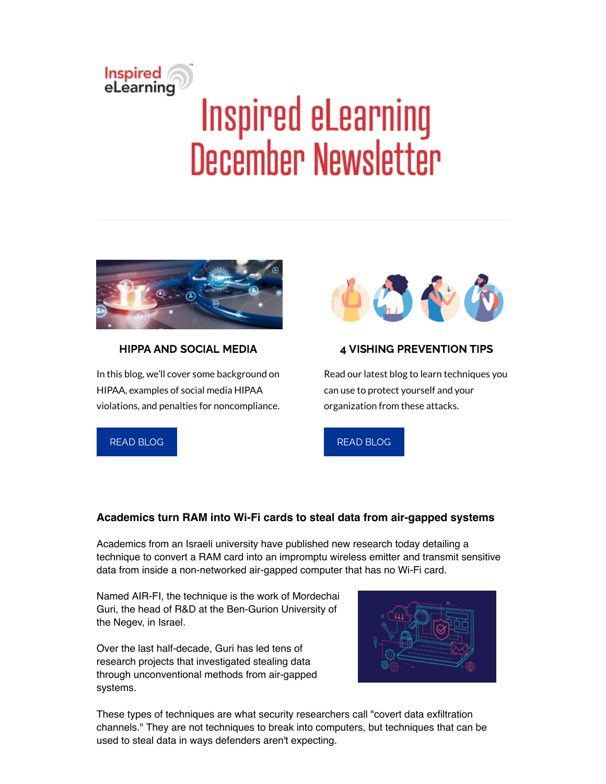# Inspired<br>eLearning Inspired eLearning **December Newsletter**



## HIPPA AND SOCIAL MEDIA

In this blog, we'll cover some background on HIPAA, examples of social media HIPAA violations, and penalties for noncompliance.



#### 4 VISHING PREVENTION TIPS

Read our latest blog to learn techniques you can use to protect yourself and your organization from these attacks.

READ [BLOG](https://inspiredelearning.com/blog/hipaa-and-social-media/)



# **Academics turn RAM into Wi-Fi cards to steal data from air-gapped systems**

Academics from an Israeli university have published new research today detailing a technique to convert a RAM card into an impromptu wireless emitter and transmit sensitive data from inside a non-networked air-gapped computer that has no Wi-Fi card.

Named AIR-FI, the technique is the work of Mordechai Guri, the head of R&D at the Ben-Gurion University of the Negev, in Israel.

Over the last half-decade, Guri has led tens of research projects that investigated stealing data through unconventional methods from air-gapped systems.



These types of techniques are what security researchers call "covert data exfiltration channels." They are not techniques to break into computers, but techniques that can be used to steal data in ways defenders aren't expecting.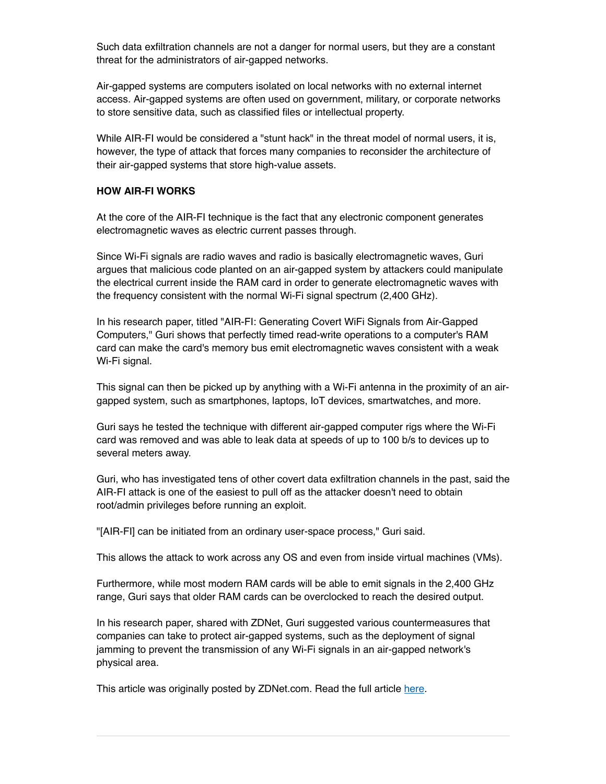Such data exfiltration channels are not a danger for normal users, but they are a constant threat for the administrators of air-gapped networks.

Air-gapped systems are computers isolated on local networks with no external internet access. Air-gapped systems are often used on government, military, or corporate networks to store sensitive data, such as classified files or intellectual property.

While AIR-FI would be considered a "stunt hack" in the threat model of normal users, it is, however, the type of attack that forces many companies to reconsider the architecture of their air-gapped systems that store high-value assets.

#### **HOW AIR-FI WORKS**

At the core of the AIR-FI technique is the fact that any electronic component generates electromagnetic waves as electric current passes through.

Since Wi-Fi signals are radio waves and radio is basically electromagnetic waves, Guri argues that malicious code planted on an air-gapped system by attackers could manipulate the electrical current inside the RAM card in order to generate electromagnetic waves with the frequency consistent with the normal Wi-Fi signal spectrum (2,400 GHz).

In his research paper, titled "AIR-FI: Generating Covert WiFi Signals from Air-Gapped Computers," Guri shows that perfectly timed read-write operations to a computer's RAM card can make the card's memory bus emit electromagnetic waves consistent with a weak Wi-Fi signal.

This signal can then be picked up by anything with a Wi-Fi antenna in the proximity of an airgapped system, such as smartphones, laptops, IoT devices, smartwatches, and more.

Guri says he tested the technique with different air-gapped computer rigs where the Wi-Fi card was removed and was able to leak data at speeds of up to 100 b/s to devices up to several meters away.

Guri, who has investigated tens of other covert data exfiltration channels in the past, said the AIR-FI attack is one of the easiest to pull off as the attacker doesn't need to obtain root/admin privileges before running an exploit.

"[AIR-FI] can be initiated from an ordinary user-space process," Guri said.

This allows the attack to work across any OS and even from inside virtual machines (VMs).

Furthermore, while most modern RAM cards will be able to emit signals in the 2,400 GHz range, Guri says that older RAM cards can be overclocked to reach the desired output.

In his research paper, shared with ZDNet, Guri suggested various countermeasures that companies can take to protect air-gapped systems, such as the deployment of signal jamming to prevent the transmission of any Wi-Fi signals in an air-gapped network's physical area.

This article was originally posted by ZDNet.com. Read the full article [here.](https://www.zdnet.com/article/academics-turn-ram-into-wifi-cards-to-steal-data-from-air-gapped-systems/#ftag=RSSbaffb68)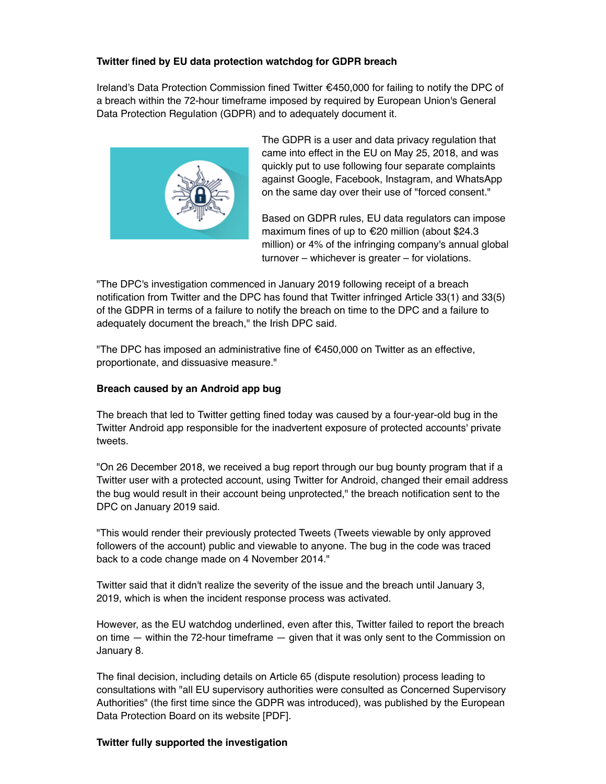### **Twitter fined by EU data protection watchdog for GDPR breach**

Ireland's Data Protection Commission fined Twitter €450,000 for failing to notify the DPC of a breach within the 72-hour timeframe imposed by required by European Union's General Data Protection Regulation (GDPR) and to adequately document it.



The GDPR is a user and data privacy regulation that came into effect in the EU on May 25, 2018, and was quickly put to use following four separate complaints against Google, Facebook, Instagram, and WhatsApp on the same day over their use of "forced consent."

Based on GDPR rules, EU data regulators can impose maximum fines of up to €20 million (about \$24.3 million) or 4% of the infringing company's annual global turnover – whichever is greater – for violations.

"The DPC's investigation commenced in January 2019 following receipt of a breach notification from Twitter and the DPC has found that Twitter infringed Article 33(1) and 33(5) of the GDPR in terms of a failure to notify the breach on time to the DPC and a failure to adequately document the breach," the Irish DPC said.

"The DPC has imposed an administrative fine of €450,000 on Twitter as an effective, proportionate, and dissuasive measure."

#### **Breach caused by an Android app bug**

The breach that led to Twitter getting fined today was caused by a four-year-old bug in the Twitter Android app responsible for the inadvertent exposure of protected accounts' private tweets.

"On 26 December 2018, we received a bug report through our bug bounty program that if a Twitter user with a protected account, using Twitter for Android, changed their email address the bug would result in their account being unprotected," the breach notification sent to the DPC on January 2019 said.

"This would render their previously protected Tweets (Tweets viewable by only approved followers of the account) public and viewable to anyone. The bug in the code was traced back to a code change made on 4 November 2014."

Twitter said that it didn't realize the severity of the issue and the breach until January 3, 2019, which is when the incident response process was activated.

However, as the EU watchdog underlined, even after this, Twitter failed to report the breach on time  $-$  within the 72-hour timeframe  $-$  given that it was only sent to the Commission on January 8.

The final decision, including details on Article 65 (dispute resolution) process leading to consultations with "all EU supervisory authorities were consulted as Concerned Supervisory Authorities" (the first time since the GDPR was introduced), was published by the European Data Protection Board on its website [PDF].

#### **Twitter fully supported the investigation**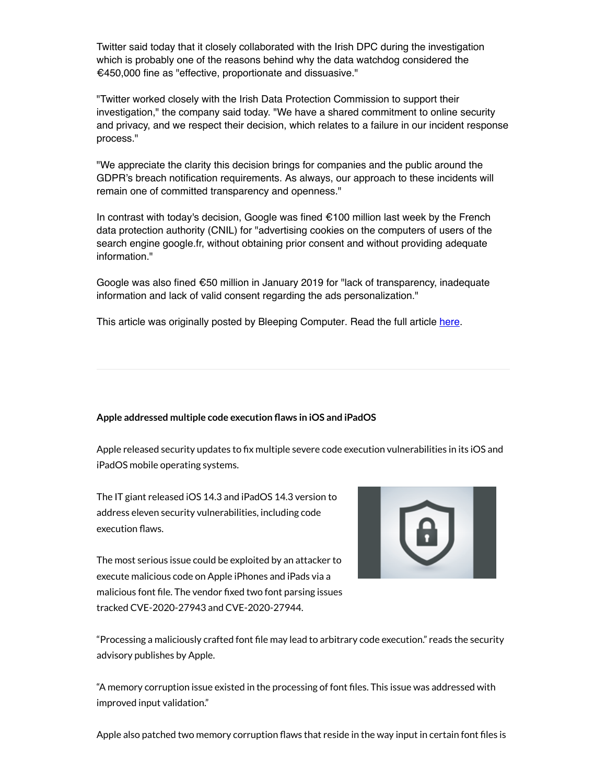Twitter said today that it closely collaborated with the Irish DPC during the investigation which is probably one of the reasons behind why the data watchdog considered the €450,000 fine as "effective, proportionate and dissuasive."

"Twitter worked closely with the Irish Data Protection Commission to support their investigation," the company said today. "We have a shared commitment to online security and privacy, and we respect their decision, which relates to a failure in our incident response process."

"We appreciate the clarity this decision brings for companies and the public around the GDPR's breach notification requirements. As always, our approach to these incidents will remain one of committed transparency and openness."

In contrast with today's decision, Google was fined €100 million last week by the French data protection authority (CNIL) for "advertising cookies on the computers of users of the search engine google.fr, without obtaining prior consent and without providing adequate information."

Google was also fined €50 million in January 2019 for "lack of transparency, inadequate information and lack of valid consent regarding the ads personalization."

This article was originally posted by Bleeping Computer. Read the full article [here.](https://www.bleepingcomputer.com/news/technology/twitter-fined-by-eu-data-protection-watchdog-for-gdpr-breach/)

#### **Apple addressed multiple code execution aws in iOS and iPadOS**

Apple released security updates to fix multiple severe code execution vulnerabilities in its iOS and iPadOS mobile operating systems.

The IT giant released iOS 14.3 and iPadOS 14.3 version to address eleven security vulnerabilities, including code execution flaws.

The most serious issue could be exploited by an attacker to execute malicious code on Apple iPhones and iPads via a malicious font file. The vendor fixed two font parsing issues tracked CVE-2020-27943 and CVE-2020-27944.



"Processing a maliciously crafted font file may lead to arbitrary code execution." reads the security advisory publishes by Apple.

"A memory corruption issue existed in the processing of font files. This issue was addressed with improved input validation."

Apple also patched two memory corruption flaws that reside in the way input in certain font files is